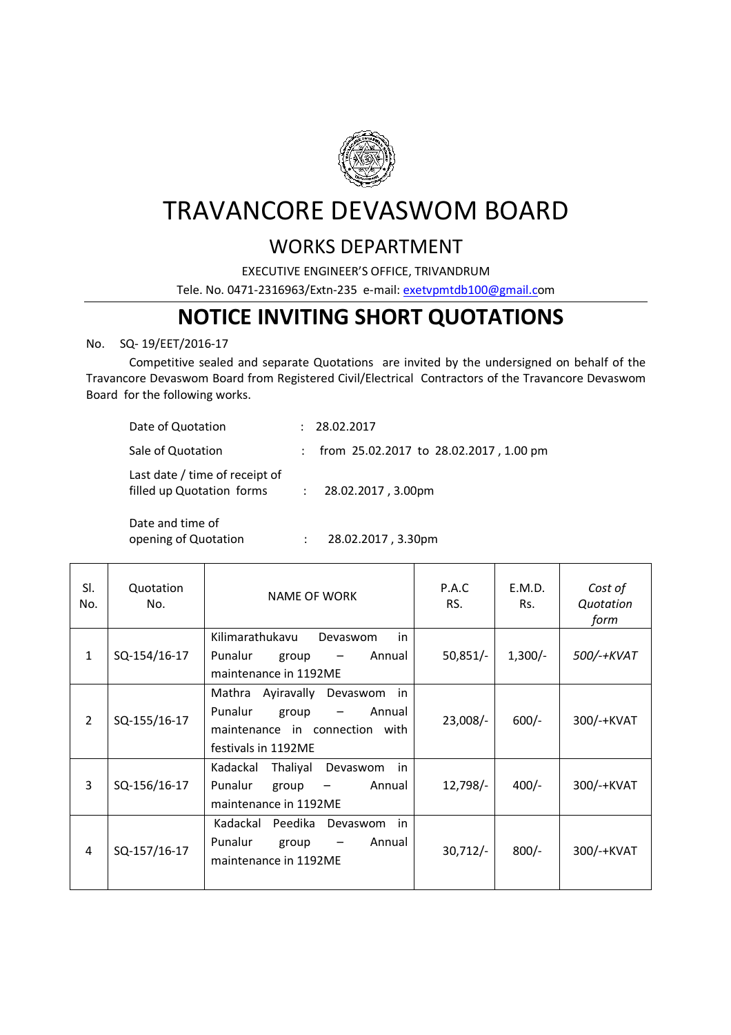

## TRAVANCORE DEVASWOM BOARD

## WORKS DEPARTMENT

EXECUTIVE ENGINEER'S OFFICE, TRIVANDRUM

Tele. No. 0471-2316963/Extn-235 e-mail: exetvpmtdb100@gmail.com

## **NOTICE INVITING SHORT QUOTATIONS**

## No. SQ- 19/EET/2016-17

 Competitive sealed and separate Quotations are invited by the undersigned on behalf of the Travancore Devaswom Board from Registered Civil/Electrical Contractors of the Travancore Devaswom Board for the following works.

| Date of Quotation                                           | : 28.02.2017                                    |
|-------------------------------------------------------------|-------------------------------------------------|
| Sale of Quotation                                           | : from $25.02.2017$ to $28.02.2017$ , $1.00$ pm |
| Last date / time of receipt of<br>filled up Quotation forms | $: 28.02.2017, 3.00 \text{pm}$                  |

Date and time of

opening of Quotation : 28.02.2017, 3.30pm

| SI.<br>No.     | Quotation<br>No. | <b>NAME OF WORK</b>                                                                                                        | P.A.C<br>RS. | E.M.D.<br>Rs. | Cost of<br>Quotation<br>form |
|----------------|------------------|----------------------------------------------------------------------------------------------------------------------------|--------------|---------------|------------------------------|
| $\mathbf{1}$   | SQ-154/16-17     | Kilimarathukavu<br>Devaswom<br>in<br>Punalur<br>Annual<br>group<br>maintenance in 1192ME                                   | $50,851/-$   | $1,300/-$     | 500/-+KVAT                   |
| $\overline{2}$ | SQ-155/16-17     | Devaswom<br>Mathra Ayiravally<br>in<br>Punalur<br>group<br>Annual<br>maintenance in connection with<br>festivals in 1192ME | $23,008/-$   | $600/-$       | 300/-+KVAT                   |
| 3              | SQ-156/16-17     | Thaliyal<br>Kadackal<br>Devaswom<br>in<br>Punalur<br>Annual<br>group<br>maintenance in 1192ME                              | $12,798/-$   | $400/-$       | 300/-+KVAT                   |
| 4              | SQ-157/16-17     | Kadackal<br>Peedika<br>Devaswom<br>in<br>Punalur<br>Annual<br>group<br>$\overline{\phantom{m}}$<br>maintenance in 1192ME   | $30,712/-$   | $800/-$       | 300/-+KVAT                   |